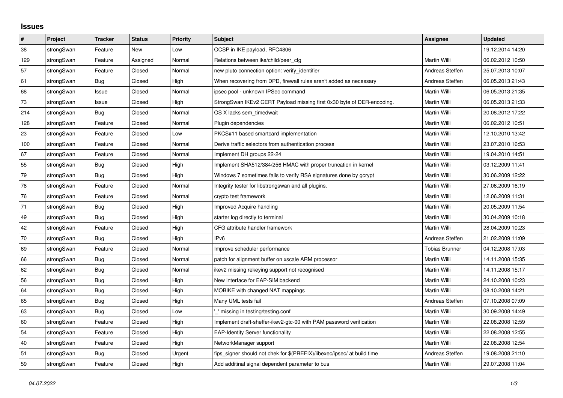## **Issues**

| $\pmb{\sharp}$ | <b>Project</b> | <b>Tracker</b> | <b>Status</b> | <b>Priority</b> | <b>Subject</b>                                                          | Assignee              | <b>Updated</b>   |
|----------------|----------------|----------------|---------------|-----------------|-------------------------------------------------------------------------|-----------------------|------------------|
| 38             | strongSwan     | Feature        | New           | Low             | OCSP in IKE payload, RFC4806                                            |                       | 19.12.2014 14:20 |
| 129            | strongSwan     | Feature        | Assigned      | Normal          | Relations between ike/child/peer cfg                                    | Martin Willi          | 06.02.2012 10:50 |
| 57             | strongSwan     | Feature        | Closed        | Normal          | new pluto connection option: verify identifier                          | Andreas Steffen       | 25.07.2013 10:07 |
| 61             | strongSwan     | Bug            | Closed        | High            | When recovering from DPD, firewall rules aren't added as necessary      | Andreas Steffen       | 06.05.2013 21:43 |
| 68             | strongSwan     | Issue          | Closed        | Normal          | ipsec pool - unknown IPSec command                                      | Martin Willi          | 06.05.2013 21:35 |
| $73\,$         | strongSwan     | Issue          | Closed        | High            | StrongSwan IKEv2 CERT Payload missing first 0x30 byte of DER-encoding.  | Martin Willi          | 06.05.2013 21:33 |
| 214            | strongSwan     | Bug            | Closed        | Normal          | OS X lacks sem timedwait                                                | Martin Willi          | 20.08.2012 17:22 |
| 128            | strongSwan     | Feature        | Closed        | Normal          | Plugin dependencies                                                     | Martin Willi          | 06.02.2012 10:51 |
| 23             | strongSwan     | Feature        | Closed        | Low             | PKCS#11 based smartcard implementation                                  | Martin Willi          | 12.10.2010 13:42 |
| 100            | strongSwan     | Feature        | Closed        | Normal          | Derive traffic selectors from authentication process                    | Martin Willi          | 23.07.2010 16:53 |
| 67             | strongSwan     | Feature        | Closed        | Normal          | Implement DH groups 22-24                                               | Martin Willi          | 19.04.2010 14:51 |
| 55             | strongSwan     | Bug            | Closed        | High            | Implement SHA512/384/256 HMAC with proper truncation in kernel          | Martin Willi          | 03.12.2009 11:41 |
| 79             | strongSwan     | Bug            | Closed        | High            | Windows 7 sometimes fails to verify RSA signatures done by gcrypt       | Martin Willi          | 30.06.2009 12:22 |
| 78             | strongSwan     | Feature        | Closed        | Normal          | Integrity tester for libstrongswan and all plugins.                     | Martin Willi          | 27.06.2009 16:19 |
| 76             | strongSwan     | Feature        | Closed        | Normal          | crypto test framework                                                   | Martin Willi          | 12.06.2009 11:31 |
| 71             | strongSwan     | Bug            | Closed        | High            | Improved Acquire handling                                               | Martin Willi          | 20.05.2009 11:54 |
| 49             | strongSwan     | Bug            | Closed        | High            | starter log directly to terminal                                        | Martin Willi          | 30.04.2009 10:18 |
| 42             | strongSwan     | Feature        | Closed        | High            | CFG attribute handler framework                                         | Martin Willi          | 28.04.2009 10:23 |
| $70\,$         | strongSwan     | Bug            | Closed        | High            | IP <sub>v6</sub>                                                        | Andreas Steffen       | 21.02.2009 11:09 |
| 69             | strongSwan     | Feature        | Closed        | Normal          | Improve scheduler performance                                           | <b>Tobias Brunner</b> | 04.12.2008 17:03 |
| 66             | strongSwan     | Bug            | Closed        | Normal          | patch for alignment buffer on xscale ARM processor                      | Martin Willi          | 14.11.2008 15:35 |
| 62             | strongSwan     | Bug            | Closed        | Normal          | ikev2 missing rekeying support not recognised                           | Martin Willi          | 14.11.2008 15:17 |
| 56             | strongSwan     | Bug            | Closed        | High            | New interface for EAP-SIM backend                                       | Martin Willi          | 24.10.2008 10:23 |
| 64             | strongSwan     | Bug            | Closed        | High            | MOBIKE with changed NAT mappings                                        | Martin Willi          | 08.10.2008 14:21 |
| 65             | strongSwan     | Bug            | Closed        | High            | Many UML tests fail                                                     | Andreas Steffen       | 07.10.2008 07:09 |
| 63             | strongSwan     | Bug            | Closed        | Low             | ' missing in testing/testing.conf                                       | Martin Willi          | 30.09.2008 14:49 |
| 60             | strongSwan     | Feature        | Closed        | High            | Implement draft-sheffer-ikev2-gtc-00 with PAM password verification     | Martin Willi          | 22.08.2008 12:59 |
| 54             | strongSwan     | Feature        | Closed        | High            | <b>EAP-Identity Server functionality</b>                                | Martin Willi          | 22.08.2008 12:55 |
| 40             | strongSwan     | Feature        | Closed        | High            | NetworkManager support                                                  | Martin Willi          | 22.08.2008 12:54 |
| 51             | strongSwan     | Bug            | Closed        | Urgent          | fips signer should not chek for \$(PREFIX)/libexec/ipsec/ at build time | Andreas Steffen       | 19.08.2008 21:10 |
| 59             | strongSwan     | Feature        | Closed        | High            | Add additinal signal dependent parameter to bus                         | Martin Willi          | 29.07.2008 11:04 |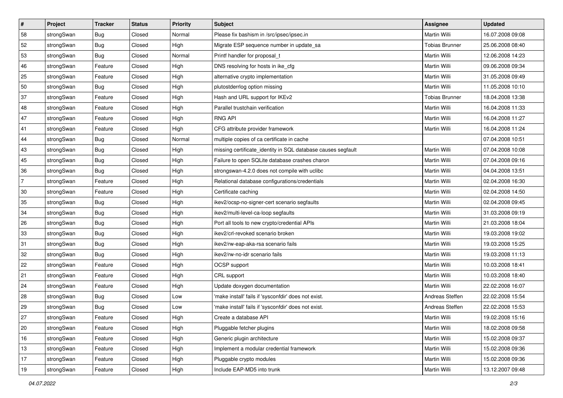| #              | Project    | <b>Tracker</b> | <b>Status</b> | <b>Priority</b> | <b>Subject</b>                                               | Assignee              | <b>Updated</b>   |
|----------------|------------|----------------|---------------|-----------------|--------------------------------------------------------------|-----------------------|------------------|
| 58             | strongSwan | <b>Bug</b>     | Closed        | Normal          | Please fix bashism in /src/ipsec/ipsec.in                    | Martin Willi          | 16.07.2008 09:08 |
| 52             | strongSwan | Bug            | Closed        | High            | Migrate ESP sequence number in update_sa                     | <b>Tobias Brunner</b> | 25.06.2008 08:40 |
| 53             | strongSwan | Bug            | Closed        | Normal          | Printf handler for proposal t                                | Martin Willi          | 12.06.2008 14:23 |
| 46             | strongSwan | Feature        | Closed        | High            | DNS resolving for hosts in ike_cfg                           | Martin Willi          | 09.06.2008 09:34 |
| 25             | strongSwan | Feature        | Closed        | High            | alternative crypto implementation                            | Martin Willi          | 31.05.2008 09:49 |
| 50             | strongSwan | Bug            | Closed        | High            | plutostderrlog option missing                                | Martin Willi          | 11.05.2008 10:10 |
| 37             | strongSwan | Feature        | Closed        | High            | Hash and URL support for IKEv2                               | <b>Tobias Brunner</b> | 18.04.2008 13:38 |
| 48             | strongSwan | Feature        | Closed        | High            | Parallel trustchain verification                             | Martin Willi          | 16.04.2008 11:33 |
| 47             | strongSwan | Feature        | Closed        | High            | <b>RNG API</b>                                               | Martin Willi          | 16.04.2008 11:27 |
| 41             | strongSwan | Feature        | Closed        | High            | CFG attribute provider framework                             | Martin Willi          | 16.04.2008 11:24 |
| 44             | strongSwan | Bug            | Closed        | Normal          | multiple copies of ca certificate in cache                   |                       | 07.04.2008 10:51 |
| 43             | strongSwan | <b>Bug</b>     | Closed        | High            | missing certificate_identity in SQL database causes segfault | Martin Willi          | 07.04.2008 10:08 |
| 45             | strongSwan | Bug            | Closed        | High            | Failure to open SQLite database crashes charon               | Martin Willi          | 07.04.2008 09:16 |
| 36             | strongSwan | Bug            | Closed        | High            | strongswan-4.2.0 does not compile with uclibe                | Martin Willi          | 04.04.2008 13:51 |
| $\overline{7}$ | strongSwan | Feature        | Closed        | High            | Relational database configurations/credentials               | Martin Willi          | 02.04.2008 16:30 |
| $30\,$         | strongSwan | Feature        | Closed        | High            | Certificate caching                                          | Martin Willi          | 02.04.2008 14:50 |
| 35             | strongSwan | Bug            | Closed        | High            | ikev2/ocsp-no-signer-cert scenario segfaults                 | Martin Willi          | 02.04.2008 09:45 |
| 34             | strongSwan | Bug            | Closed        | High            | ikev2/multi-level-ca-loop segfaults                          | Martin Willi          | 31.03.2008 09:19 |
| 26             | strongSwan | Bug            | Closed        | High            | Port all tools to new crypto/credential APIs                 | Martin Willi          | 21.03.2008 18:04 |
| 33             | strongSwan | Bug            | Closed        | High            | ikev2/crl-revoked scenario broken                            | Martin Willi          | 19.03.2008 19:02 |
| 31             | strongSwan | Bug            | Closed        | High            | ikev2/rw-eap-aka-rsa scenario fails                          | Martin Willi          | 19.03.2008 15:25 |
| 32             | strongSwan | Bug            | Closed        | High            | ikev2/rw-no-idr scenario fails                               | Martin Willi          | 19.03.2008 11:13 |
| 22             | strongSwan | Feature        | Closed        | High            | OCSP support                                                 | Martin Willi          | 10.03.2008 18:41 |
| 21             | strongSwan | Feature        | Closed        | High            | CRL support                                                  | Martin Willi          | 10.03.2008 18:40 |
| 24             | strongSwan | Feature        | Closed        | High            | Update doxygen documentation                                 | <b>Martin Willi</b>   | 22.02.2008 16:07 |
| 28             | strongSwan | Bug            | Closed        | Low             | 'make install' fails if 'sysconfdir' does not exist.         | Andreas Steffen       | 22.02.2008 15:54 |
| 29             | strongSwan | Bug            | Closed        | Low             | 'make install' fails if 'sysconfdir' does not exist.         | Andreas Steffen       | 22.02.2008 15:53 |
| 27             | strongSwan | Feature        | Closed        | High            | Create a database API                                        | Martin Willi          | 19.02.2008 15:16 |
| 20             | strongSwan | Feature        | Closed        | High            | Pluggable fetcher plugins                                    | Martin Willi          | 18.02.2008 09:58 |
| 16             | strongSwan | Feature        | Closed        | High            | Generic plugin architecture                                  | Martin Willi          | 15.02.2008 09:37 |
| 13             | strongSwan | Feature        | Closed        | High            | Implement a modular credential framework                     | Martin Willi          | 15.02.2008 09:36 |
| 17             | strongSwan | Feature        | Closed        | High            | Pluggable crypto modules                                     | Martin Willi          | 15.02.2008 09:36 |
| 19             | strongSwan | Feature        | Closed        | High            | Include EAP-MD5 into trunk                                   | Martin Willi          | 13.12.2007 09:48 |